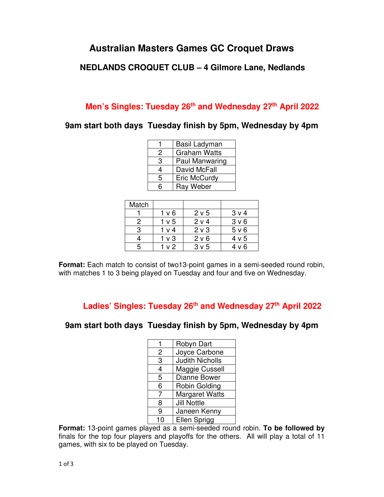## **Australian Masters Games GC Croquet Draws**

### **NEDLANDS CROQUET CLUB – 4 Gilmore Lane, Nedlands**

## **Men's Singles: Tuesday 26th and Wednesday 27th April 2022**

**9am start both days Tuesday finish by 5pm, Wednesday by 4pm** 

|   | Basil Ladyman       |  |  |
|---|---------------------|--|--|
| 2 | <b>Graham Watts</b> |  |  |
| 3 | Paul Manwaring      |  |  |
| 4 | David McFall        |  |  |
| 5 | Eric McCurdy        |  |  |
| 6 | Ray Weber           |  |  |

| Match |                  |                  |       |
|-------|------------------|------------------|-------|
|       | 1 <sub>v</sub> 6 | 2 <sub>v</sub> 5 | 3 v 4 |
| 2     | 1 v 5            | 2 v 4            | 3 v 6 |
| 3     | 1 v 4            | 2 <sub>v</sub>   | 5 v 6 |
|       | 1 v 3            | 2 v 6            | 4 v 5 |
| 5     | v 2              | 3 <sub>v</sub> 5 | 4 v 6 |

**Format:** Each match to consist of two13-point games in a semi-seeded round robin, with matches 1 to 3 being played on Tuesday and four and five on Wednesday.

**Ladies' Singles: Tuesday 26th and Wednesday 27th April 2022** 

#### **9am start both days Tuesday finish by 5pm, Wednesday by 4pm**

| 1  | Robyn Dart             |
|----|------------------------|
| 2  | Joyce Carbone          |
| 3  | <b>Judith Nicholls</b> |
| 4  | Maggie Cussell         |
| 5  | Dianne Bower           |
| 6  | Robin Golding          |
| 7  | <b>Margaret Watts</b>  |
| 8  | <b>Jill Nottle</b>     |
| 9  | Janeen Kenny           |
| 10 | Ellen Sprigg           |

**Format:** 13-point games played as a semi-seeded round robin. **To be followed by**  finals for the top four players and playoffs for the others. All will play a total of 11 games, with six to be played on Tuesday.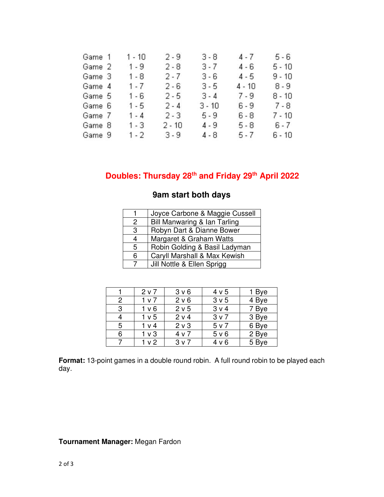| Game 1 | $1 - 10$ | $2 - 9$  | $3 - 8$  | $4 - 7$  | $5 - 6$  |
|--------|----------|----------|----------|----------|----------|
| Game 2 | $1 - 9$  | $2 - 8$  | $3 - 7$  | $4 - 6$  | $5 - 10$ |
| Game 3 | $1 - 8$  | $2 - 7$  | $3 - 6$  | $4 - 5$  | $9 - 10$ |
| Game 4 | $1 - 7$  | $2 - 6$  | $3 - 5$  | $4 - 10$ | $8 - 9$  |
| Game 5 | $1 - 6$  | $2 - 5$  | $3 - 4$  | $7 - 9$  | $8 - 10$ |
| Game 6 | $1 - 5$  | $2 - 4$  | $3 - 10$ | $6 - 9$  | $7 - 8$  |
| Game 7 | $1 - 4$  | $2 - 3$  | $5 - 9$  | $6 - 8$  | $7 - 10$ |
| Game 8 | $1 - 3$  | $2 - 10$ | $4 - 9$  | $5 - 8$  | $6 - 7$  |
| Game 9 | $1 - 2$  | $3 - 9$  | $4 - 8$  | $5 - 7$  | $6 - 10$ |

# **Doubles: Thursday 28th and Friday 29th April 2022**

| 1 | Joyce Carbone & Maggie Cussell |
|---|--------------------------------|
| 2 | Bill Manwaring & Ian Tarling   |
| 3 | Robyn Dart & Dianne Bower      |
|   | Margaret & Graham Watts        |
| 5 | Robin Golding & Basil Ladyman  |
| 6 | Caryll Marshall & Max Kewish   |
|   | Jill Nottle & Ellen Sprigg     |

|   | 2 <sub>v</sub>   | 3 v 6          | 4 v 5            | 1 Bye |
|---|------------------|----------------|------------------|-------|
| 2 | 1 v 7            | 2 v 6          | 3 <sub>v</sub> 5 | 4 Bye |
| 3 | 1 <sub>v</sub> 6 | 2 v 5          | 3 v 4            | 7 Bye |
| 4 | 1 <sub>v</sub> 5 | 2 v 4          | 3 v 7            | 3 Bye |
| 5 | 1 v 4            | 2 <sub>v</sub> | 5 v 7            | 6 Bye |
| 6 | 1 <sub>v</sub>   | 4 v 7          | 5 <sub>v</sub> 6 | 2 Bye |
| 7 | 1 <sub>v</sub>   | 3 v 7          | 4 v 6            | 5 Bye |

**Format:** 13-point games in a double round robin. A full round robin to be played each day.

#### **Tournament Manager:** Megan Fardon